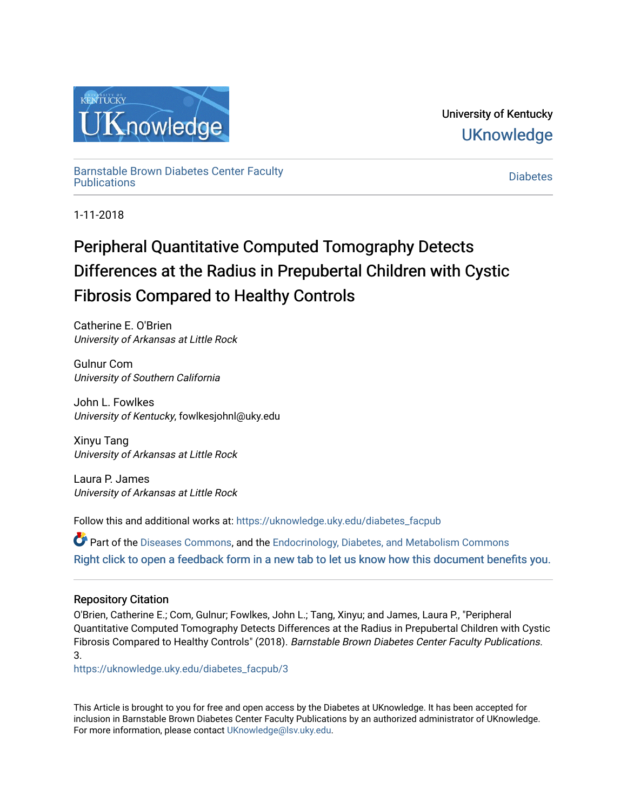

University of Kentucky **UKnowledge** 

[Barnstable Brown Diabetes Center Faculty](https://uknowledge.uky.edu/diabetes_facpub)  Diabetes Center Faculty<br>[Publications](https://uknowledge.uky.edu/diabetes_facpub) [Diabetes](https://uknowledge.uky.edu/diabetes) Diabetes Diabetes

1-11-2018

# Peripheral Quantitative Computed Tomography Detects Differences at the Radius in Prepubertal Children with Cystic Fibrosis Compared to Healthy Controls

Catherine E. O'Brien University of Arkansas at Little Rock

Gulnur Com University of Southern California

John L. Fowlkes University of Kentucky, fowlkesjohnl@uky.edu

Xinyu Tang University of Arkansas at Little Rock

Laura P. James University of Arkansas at Little Rock

Follow this and additional works at: [https://uknowledge.uky.edu/diabetes\\_facpub](https://uknowledge.uky.edu/diabetes_facpub?utm_source=uknowledge.uky.edu%2Fdiabetes_facpub%2F3&utm_medium=PDF&utm_campaign=PDFCoverPages) 

Part of the [Diseases Commons](http://network.bepress.com/hgg/discipline/813?utm_source=uknowledge.uky.edu%2Fdiabetes_facpub%2F3&utm_medium=PDF&utm_campaign=PDFCoverPages), and the [Endocrinology, Diabetes, and Metabolism Commons](http://network.bepress.com/hgg/discipline/686?utm_source=uknowledge.uky.edu%2Fdiabetes_facpub%2F3&utm_medium=PDF&utm_campaign=PDFCoverPages)  [Right click to open a feedback form in a new tab to let us know how this document benefits you.](https://uky.az1.qualtrics.com/jfe/form/SV_9mq8fx2GnONRfz7)

## Repository Citation

O'Brien, Catherine E.; Com, Gulnur; Fowlkes, John L.; Tang, Xinyu; and James, Laura P., "Peripheral Quantitative Computed Tomography Detects Differences at the Radius in Prepubertal Children with Cystic Fibrosis Compared to Healthy Controls" (2018). Barnstable Brown Diabetes Center Faculty Publications. 3.

[https://uknowledge.uky.edu/diabetes\\_facpub/3](https://uknowledge.uky.edu/diabetes_facpub/3?utm_source=uknowledge.uky.edu%2Fdiabetes_facpub%2F3&utm_medium=PDF&utm_campaign=PDFCoverPages) 

This Article is brought to you for free and open access by the Diabetes at UKnowledge. It has been accepted for inclusion in Barnstable Brown Diabetes Center Faculty Publications by an authorized administrator of UKnowledge. For more information, please contact [UKnowledge@lsv.uky.edu.](mailto:UKnowledge@lsv.uky.edu)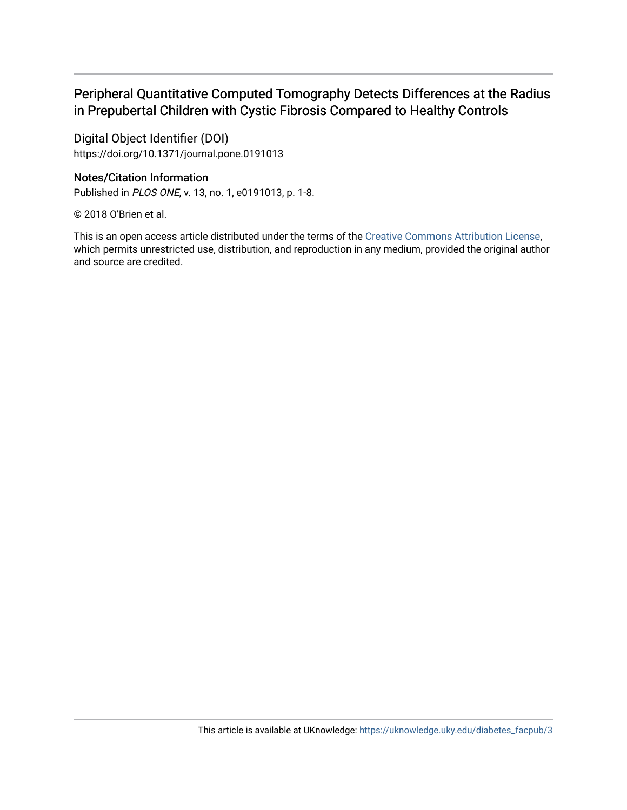## Peripheral Quantitative Computed Tomography Detects Differences at the Radius in Prepubertal Children with Cystic Fibrosis Compared to Healthy Controls

Digital Object Identifier (DOI) https://doi.org/10.1371/journal.pone.0191013

### Notes/Citation Information

Published in PLOS ONE, v. 13, no. 1, e0191013, p. 1-8.

© 2018 O'Brien et al.

This is an open access article distributed under the terms of the [Creative Commons Attribution License,](http://creativecommons.org/licenses/by/4.0/) which permits unrestricted use, distribution, and reproduction in any medium, provided the original author and source are credited.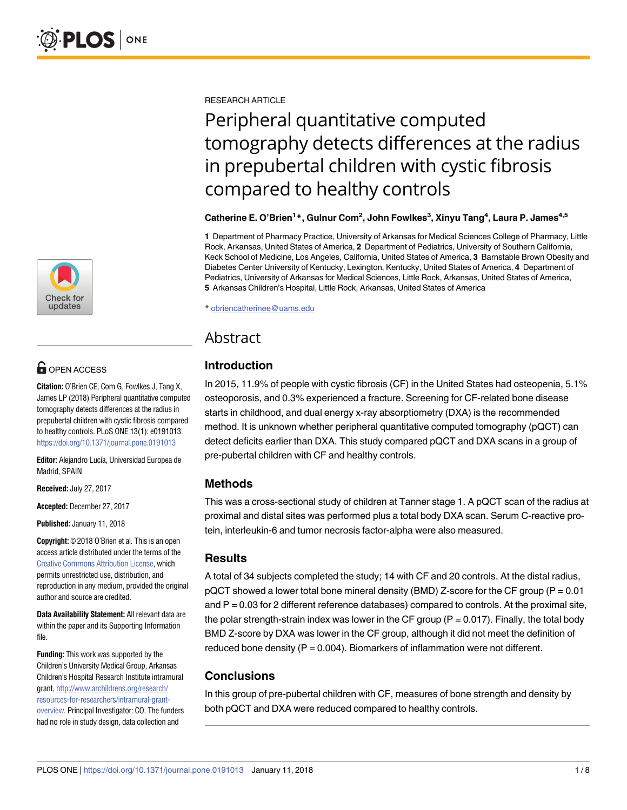

# **OPEN ACCESS**

**Citation:** O'Brien CE, Com G, Fowlkes J, Tang X, James LP (2018) Peripheral quantitative computed tomography detects differences at the radius in prepubertal children with cystic fibrosis compared to healthy controls. PLoS ONE 13(1): e0191013. <https://doi.org/10.1371/journal.pone.0191013>

Editor: Alejandro Lucía, Universidad Europea de Madrid, SPAIN

**Received:** July 27, 2017

**Accepted:** December 27, 2017

**Published:** January 11, 2018

**Copyright:** © 2018 O'Brien et al. This is an open access article distributed under the terms of the Creative Commons [Attribution](http://creativecommons.org/licenses/by/4.0/) License, which permits unrestricted use, distribution, and reproduction in any medium, provided the original author and source are credited.

**Data Availability Statement:** All relevant data are within the paper and its Supporting Information file.

**Funding:** This work was supported by the Children's University Medical Group, Arkansas Children's Hospital Research Institute intramural grant, [http://www.archildrens.org/research/](http://www.archildrens.org/research/resources-for-researchers/intramural-grant-overview) [resources-for-researchers/intramural-grant](http://www.archildrens.org/research/resources-for-researchers/intramural-grant-overview)[overview](http://www.archildrens.org/research/resources-for-researchers/intramural-grant-overview). Principal Investigator: CO. The funders had no role in study design, data collection and

RESEARCH ARTICLE

# Peripheral quantitative computed tomography detects differences at the radius in prepubertal children with cystic fibrosis compared to healthy controls

#### **Catherine E. O'Brien1 \*, Gulnur Com2 , John Fowlkes3 , Xinyu Tang4 , Laura P. James4,5**

**1** Department of Pharmacy Practice, University of Arkansas for Medical Sciences College of Pharmacy, Little Rock, Arkansas, United States of America, **2** Department of Pediatrics, University of Southern California, Keck School of Medicine, Los Angeles, California, United States of America, **3** Barnstable Brown Obesity and Diabetes Center University of Kentucky, Lexington, Kentucky, United States of America, **4** Department of Pediatrics, University of Arkansas for Medical Sciences, Little Rock, Arkansas, United States of America, **5** Arkansas Children's Hospital, Little Rock, Arkansas, United States of America

\* obriencatherinee@uams.edu

## Abstract

## **Introduction**

In 2015, 11.9% of people with cystic fibrosis (CF) in the United States had osteopenia, 5.1% osteoporosis, and 0.3% experienced a fracture. Screening for CF-related bone disease starts in childhood, and dual energy x-ray absorptiometry (DXA) is the recommended method. It is unknown whether peripheral quantitative computed tomography (pQCT) can detect deficits earlier than DXA. This study compared pQCT and DXA scans in a group of pre-pubertal children with CF and healthy controls.

### **Methods**

This was a cross-sectional study of children at Tanner stage 1. A pQCT scan of the radius at proximal and distal sites was performed plus a total body DXA scan. Serum C-reactive protein, interleukin-6 and tumor necrosis factor-alpha were also measured.

### **Results**

A total of 34 subjects completed the study; 14 with CF and 20 controls. At the distal radius,  $pQCT$  showed a lower total bone mineral density (BMD) Z-score for the CF group (P = 0.01 and  $P = 0.03$  for 2 different reference databases) compared to controls. At the proximal site, the polar strength-strain index was lower in the CF group  $(P = 0.017)$ . Finally, the total body BMD Z-score by DXA was lower in the CF group, although it did not meet the definition of reduced bone density  $(P = 0.004)$ . Biomarkers of inflammation were not different.

## **Conclusions**

In this group of pre-pubertal children with CF, measures of bone strength and density by both pQCT and DXA were reduced compared to healthy controls.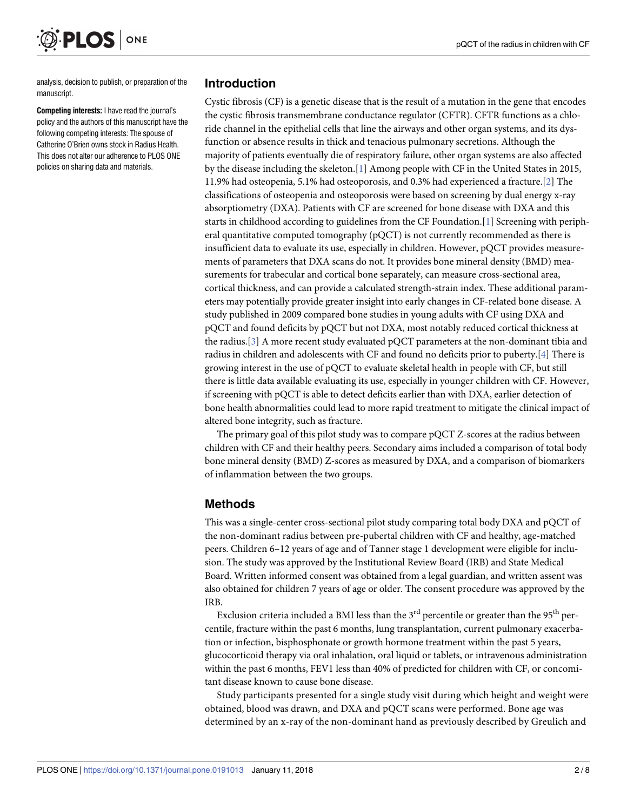analysis, decision to publish, or preparation of the manuscript.

<span id="page-3-0"></span>PLOS

ONE

**Competing interests:** I have read the journal's policy and the authors of this manuscript have the following competing interests: The spouse of Catherine O'Brien owns stock in Radius Health. This does not alter our adherence to PLOS ONE policies on sharing data and materials.

#### **Introduction**

Cystic fibrosis (CF) is a genetic disease that is the result of a mutation in the gene that encodes the cystic fibrosis transmembrane conductance regulator (CFTR). CFTR functions as a chloride channel in the epithelial cells that line the airways and other organ systems, and its dysfunction or absence results in thick and tenacious pulmonary secretions. Although the majority of patients eventually die of respiratory failure, other organ systems are also affected by the disease including the skeleton.[\[1](#page-8-0)] Among people with CF in the United States in 2015, 11.9% had osteopenia, 5.1% had osteoporosis, and 0.3% had experienced a fracture.[[2](#page-8-0)] The classifications of osteopenia and osteoporosis were based on screening by dual energy x-ray absorptiometry (DXA). Patients with CF are screened for bone disease with DXA and this starts in childhood according to guidelines from the CF Foundation.[\[1](#page-8-0)] Screening with peripheral quantitative computed tomography (pQCT) is not currently recommended as there is insufficient data to evaluate its use, especially in children. However, pQCT provides measurements of parameters that DXA scans do not. It provides bone mineral density (BMD) measurements for trabecular and cortical bone separately, can measure cross-sectional area, cortical thickness, and can provide a calculated strength-strain index. These additional parameters may potentially provide greater insight into early changes in CF-related bone disease. A study published in 2009 compared bone studies in young adults with CF using DXA and pQCT and found deficits by pQCT but not DXA, most notably reduced cortical thickness at the radius.[\[3\]](#page-8-0) A more recent study evaluated pQCT parameters at the non-dominant tibia and radius in children and adolescents with CF and found no deficits prior to puberty.[[4](#page-8-0)] There is growing interest in the use of pQCT to evaluate skeletal health in people with CF, but still there is little data available evaluating its use, especially in younger children with CF. However, if screening with pQCT is able to detect deficits earlier than with DXA, earlier detection of bone health abnormalities could lead to more rapid treatment to mitigate the clinical impact of altered bone integrity, such as fracture.

The primary goal of this pilot study was to compare pQCT Z-scores at the radius between children with CF and their healthy peers. Secondary aims included a comparison of total body bone mineral density (BMD) Z-scores as measured by DXA, and a comparison of biomarkers of inflammation between the two groups.

### **Methods**

This was a single-center cross-sectional pilot study comparing total body DXA and pQCT of the non-dominant radius between pre-pubertal children with CF and healthy, age-matched peers. Children 6–12 years of age and of Tanner stage 1 development were eligible for inclusion. The study was approved by the Institutional Review Board (IRB) and State Medical Board. Written informed consent was obtained from a legal guardian, and written assent was also obtained for children 7 years of age or older. The consent procedure was approved by the IRB.

Exclusion criteria included a BMI less than the  $3<sup>rd</sup>$  percentile or greater than the  $95<sup>th</sup>$  percentile, fracture within the past 6 months, lung transplantation, current pulmonary exacerbation or infection, bisphosphonate or growth hormone treatment within the past 5 years, glucocorticoid therapy via oral inhalation, oral liquid or tablets, or intravenous administration within the past 6 months, FEV1 less than 40% of predicted for children with CF, or concomitant disease known to cause bone disease.

Study participants presented for a single study visit during which height and weight were obtained, blood was drawn, and DXA and pQCT scans were performed. Bone age was determined by an x-ray of the non-dominant hand as previously described by Greulich and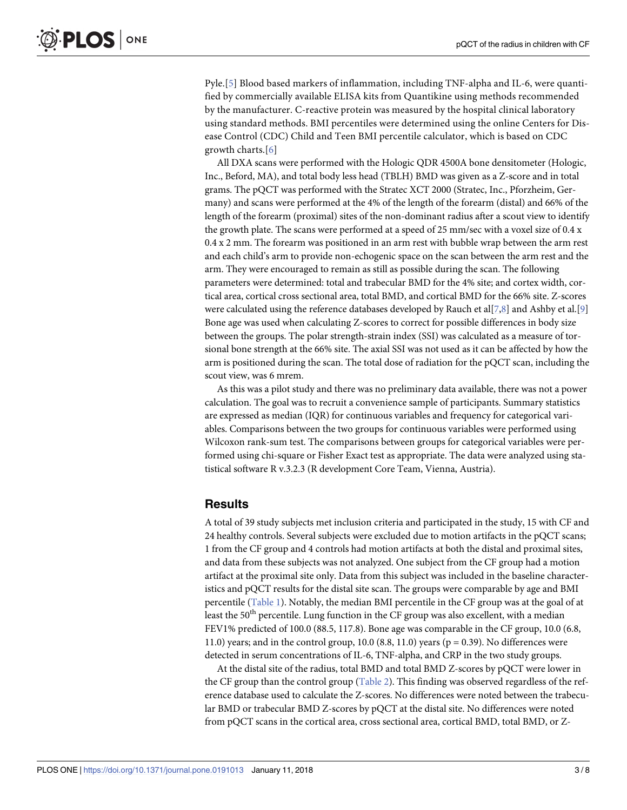<span id="page-4-0"></span>Pyle.[\[5](#page-8-0)] Blood based markers of inflammation, including TNF-alpha and IL-6, were quantified by commercially available ELISA kits from Quantikine using methods recommended by the manufacturer. C-reactive protein was measured by the hospital clinical laboratory using standard methods. BMI percentiles were determined using the online Centers for Disease Control (CDC) Child and Teen BMI percentile calculator, which is based on CDC growth charts.[\[6](#page-8-0)]

All DXA scans were performed with the Hologic QDR 4500A bone densitometer (Hologic, Inc., Beford, MA), and total body less head (TBLH) BMD was given as a Z-score and in total grams. The pQCT was performed with the Stratec XCT 2000 (Stratec, Inc., Pforzheim, Germany) and scans were performed at the 4% of the length of the forearm (distal) and 66% of the length of the forearm (proximal) sites of the non-dominant radius after a scout view to identify the growth plate. The scans were performed at a speed of 25 mm/sec with a voxel size of 0.4 x 0.4 x 2 mm. The forearm was positioned in an arm rest with bubble wrap between the arm rest and each child's arm to provide non-echogenic space on the scan between the arm rest and the arm. They were encouraged to remain as still as possible during the scan. The following parameters were determined: total and trabecular BMD for the 4% site; and cortex width, cortical area, cortical cross sectional area, total BMD, and cortical BMD for the 66% site. Z-scores were calculated using the reference databases developed by Rauch et al[[7,8](#page-8-0)] and Ashby et al.[[9\]](#page-8-0) Bone age was used when calculating Z-scores to correct for possible differences in body size between the groups. The polar strength-strain index (SSI) was calculated as a measure of torsional bone strength at the 66% site. The axial SSI was not used as it can be affected by how the arm is positioned during the scan. The total dose of radiation for the pQCT scan, including the scout view, was 6 mrem.

As this was a pilot study and there was no preliminary data available, there was not a power calculation. The goal was to recruit a convenience sample of participants. Summary statistics are expressed as median (IQR) for continuous variables and frequency for categorical variables. Comparisons between the two groups for continuous variables were performed using Wilcoxon rank-sum test. The comparisons between groups for categorical variables were performed using chi-square or Fisher Exact test as appropriate. The data were analyzed using statistical software R v.3.2.3 (R development Core Team, Vienna, Austria).

#### **Results**

A total of 39 study subjects met inclusion criteria and participated in the study, 15 with CF and 24 healthy controls. Several subjects were excluded due to motion artifacts in the pQCT scans; 1 from the CF group and 4 controls had motion artifacts at both the distal and proximal sites, and data from these subjects was not analyzed. One subject from the CF group had a motion artifact at the proximal site only. Data from this subject was included in the baseline characteristics and pQCT results for the distal site scan. The groups were comparable by age and BMI percentile [\(Table](#page-5-0) 1). Notably, the median BMI percentile in the CF group was at the goal of at least the  $50<sup>th</sup>$  percentile. Lung function in the CF group was also excellent, with a median FEV1% predicted of 100.0 (88.5, 117.8). Bone age was comparable in the CF group, 10.0 (6.8, 11.0) years; and in the control group, 10.0 (8.8, 11.0) years ( $p = 0.39$ ). No differences were detected in serum concentrations of IL-6, TNF-alpha, and CRP in the two study groups.

At the distal site of the radius, total BMD and total BMD Z-scores by pQCT were lower in the CF group than the control group ([Table](#page-5-0) 2). This finding was observed regardless of the reference database used to calculate the Z-scores. No differences were noted between the trabecular BMD or trabecular BMD Z-scores by pQCT at the distal site. No differences were noted from pQCT scans in the cortical area, cross sectional area, cortical BMD, total BMD, or Z-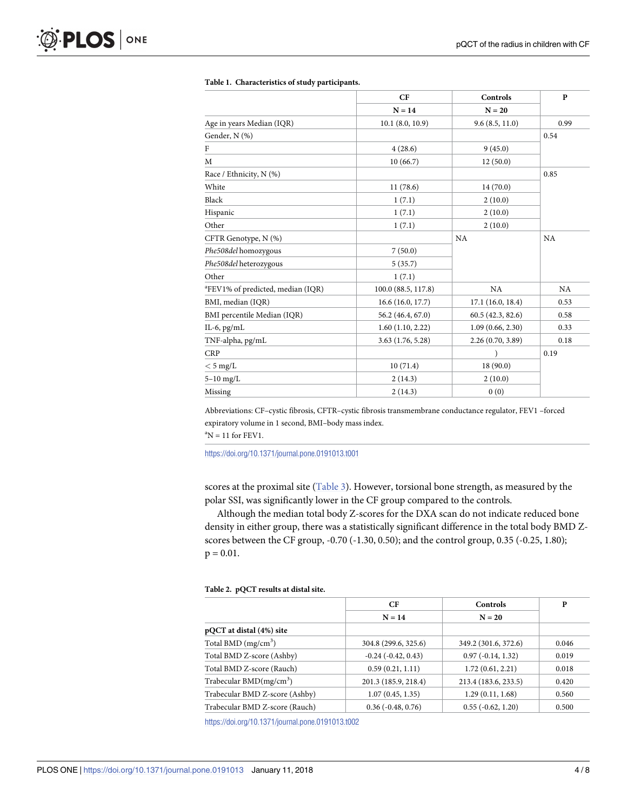|                                               | CF<br>$N = 14$      | Controls<br>$N = 20$ | $\mathbf{p}$ |
|-----------------------------------------------|---------------------|----------------------|--------------|
|                                               |                     |                      |              |
| Age in years Median (IQR)                     | 10.1(8.0, 10.9)     | 9.6(8.5, 11.0)       | 0.99         |
| Gender, N (%)                                 |                     |                      | 0.54         |
| F                                             | 4(28.6)             | 9(45.0)              |              |
| M                                             | 10(66.7)            | 12(50.0)             |              |
| Race / Ethnicity, N (%)                       |                     |                      | 0.85         |
| White                                         | 11(78.6)            | 14(70.0)             |              |
| Black                                         | 1(7.1)              | 2(10.0)              |              |
| Hispanic                                      | 1(7.1)              | 2(10.0)              |              |
| Other                                         | 1(7.1)              | 2(10.0)              |              |
| CFTR Genotype, N (%)                          |                     | NA                   |              |
| Phe508del homozygous                          | 7(50.0)             |                      |              |
| Phe508del heterozygous                        | 5(35.7)             |                      |              |
| Other                                         | 1(7.1)              |                      |              |
| <sup>a</sup> FEV1% of predicted, median (IQR) | 100.0 (88.5, 117.8) | <b>NA</b>            | <b>NA</b>    |
| BMI, median (IQR)                             | 16.6(16.0, 17.7)    | 17.1(16.0, 18.4)     | 0.53         |
| BMI percentile Median (IQR)                   | 56.2 (46.4, 67.0)   | 60.5(42.3, 82.6)     | 0.58         |
| IL-6, $pg/mL$                                 | 1.60(1.10, 2.22)    | 1.09(0.66, 2.30)     | 0.33         |
| TNF-alpha, pg/mL                              | 3.63 (1.76, 5.28)   | 2.26 (0.70, 3.89)    | 0.18         |
| <b>CRP</b>                                    |                     |                      | 0.19         |
| $<$ 5 mg/L                                    | 10(71.4)            | 18 (90.0)            |              |
| $5-10$ mg/L                                   | 2(14.3)             | 2(10.0)              |              |
| Missing                                       | 2(14.3)             | 0(0)                 |              |

#### <span id="page-5-0"></span>**[Table](#page-4-0) 1. Characteristics of study participants.**

Abbreviations: CF–cystic fibrosis, CFTR–cystic fibrosis transmembrane conductance regulator, FEV1 –forced expiratory volume in 1 second, BMI–body mass index.

 ${}^{\text{a}}\text{N} = 11$  for FEV1.

<https://doi.org/10.1371/journal.pone.0191013.t001>

scores at the proximal site [\(Table](#page-6-0) 3). However, torsional bone strength, as measured by the polar SSI, was significantly lower in the CF group compared to the controls.

Although the median total body Z-scores for the DXA scan do not indicate reduced bone density in either group, there was a statistically significant difference in the total body BMD Zscores between the CF group, -0.70 (-1.30, 0.50); and the control group, 0.35 (-0.25, 1.80);  $p = 0.01$ .

#### **[Table](#page-4-0) 2. pQCT results at distal site.**

|                                | СF                      | <b>Controls</b>      | P     |
|--------------------------------|-------------------------|----------------------|-------|
|                                | $N = 14$                | $N = 20$             |       |
| pQCT at distal (4%) site       |                         |                      |       |
| Total BMD $(mg/cm3)$           | 304.8 (299.6, 325.6)    | 349.2 (301.6, 372.6) | 0.046 |
| Total BMD Z-score (Ashby)      | $-0.24$ $(-0.42, 0.43)$ | $0.97(-0.14, 1.32)$  | 0.019 |
| Total BMD Z-score (Rauch)      | 0.59(0.21, 1.11)        | 1.72(0.61, 2.21)     | 0.018 |
| Trabecular BMD $(mg/cm3)$      | 201.3 (185.9, 218.4)    | 213.4 (183.6, 233.5) | 0.420 |
| Trabecular BMD Z-score (Ashby) | 1.07(0.45, 1.35)        | 1.29(0.11, 1.68)     | 0.560 |
| Trabecular BMD Z-score (Rauch) | $0.36(-0.48, 0.76)$     | $0.55(-0.62, 1.20)$  | 0.500 |

<https://doi.org/10.1371/journal.pone.0191013.t002>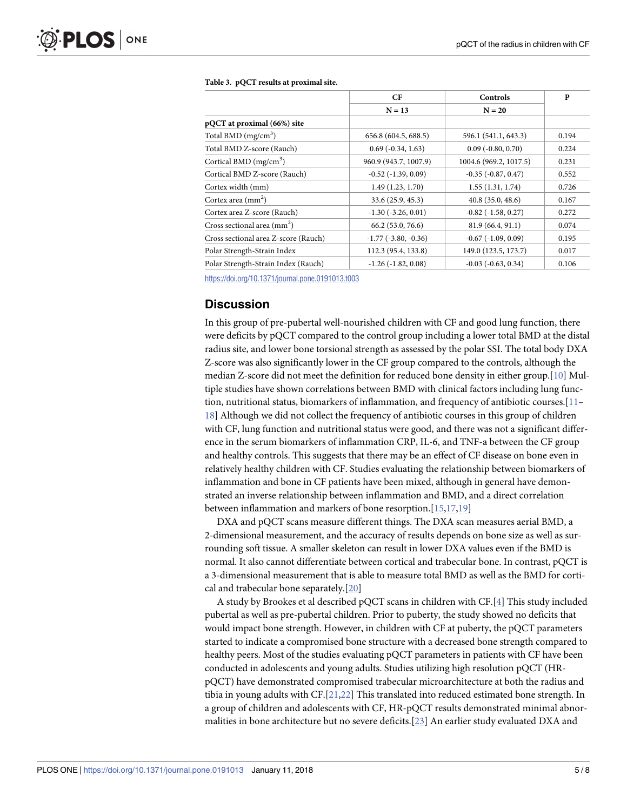|                                      | CF                       | Controls                    | P     |
|--------------------------------------|--------------------------|-----------------------------|-------|
|                                      | $N = 13$                 | $N = 20$                    |       |
| pQCT at proximal (66%) site          |                          |                             |       |
| Total BMD $(mg/cm^3)$                | 656.8 (604.5, 688.5)     | 596.1 (541.1, 643.3)        | 0.194 |
| Total BMD Z-score (Rauch)            | $0.69(-0.34, 1.63)$      | $0.09$ ( $-0.80$ , $0.70$ ) | 0.224 |
| Cortical BMD $(mg/cm3)$              | 960.9 (943.7, 1007.9)    | 1004.6 (969.2, 1017.5)      | 0.231 |
| Cortical BMD Z-score (Rauch)         | $-0.52$ $(-1.39, 0.09)$  | $-0.35$ $(-0.87, 0.47)$     | 0.552 |
| Cortex width (mm)                    | 1.49(1.23, 1.70)         | 1.55(1.31, 1.74)            | 0.726 |
| Cortex area $\text{(mm}^2)$          | 33.6 (25.9, 45.3)        | 40.8(35.0, 48.6)            | 0.167 |
| Cortex area Z-score (Rauch)          | $-1.30$ $(-3.26, 0.01)$  | $-0.82$ $(-1.58, 0.27)$     | 0.272 |
| Cross sectional area $\text{(mm}^2)$ | 66.2(53.0, 76.6)         | 81.9(66.4, 91.1)            | 0.074 |
| Cross sectional area Z-score (Rauch) | $-1.77$ $(-3.80, -0.36)$ | $-0.67$ $(-1.09, 0.09)$     | 0.195 |
| Polar Strength-Strain Index          | 112.3 (95.4, 133.8)      | 149.0 (123.5, 173.7)        | 0.017 |
| Polar Strength-Strain Index (Rauch)  | $-1.26(-1.82, 0.08)$     | $-0.03$ $(-0.63, 0.34)$     | 0.106 |

#### <span id="page-6-0"></span>**[Table](#page-5-0) 3. pQCT results at proximal site.**

<https://doi.org/10.1371/journal.pone.0191013.t003>

#### **Discussion**

In this group of pre-pubertal well-nourished children with CF and good lung function, there were deficits by pQCT compared to the control group including a lower total BMD at the distal radius site, and lower bone torsional strength as assessed by the polar SSI. The total body DXA Z-score was also significantly lower in the CF group compared to the controls, although the median Z-score did not meet the definition for reduced bone density in either group.[[10](#page-8-0)] Multiple studies have shown correlations between BMD with clinical factors including lung function, nutritional status, biomarkers of inflammation, and frequency of antibiotic courses.[[11–](#page-8-0) [18\]](#page-9-0) Although we did not collect the frequency of antibiotic courses in this group of children with CF, lung function and nutritional status were good, and there was not a significant difference in the serum biomarkers of inflammation CRP, IL-6, and TNF-a between the CF group and healthy controls. This suggests that there may be an effect of CF disease on bone even in relatively healthy children with CF. Studies evaluating the relationship between biomarkers of inflammation and bone in CF patients have been mixed, although in general have demonstrated an inverse relationship between inflammation and BMD, and a direct correlation between inflammation and markers of bone resorption.[\[15,17](#page-9-0),[19](#page-9-0)]

DXA and pQCT scans measure different things. The DXA scan measures aerial BMD, a 2-dimensional measurement, and the accuracy of results depends on bone size as well as surrounding soft tissue. A smaller skeleton can result in lower DXA values even if the BMD is normal. It also cannot differentiate between cortical and trabecular bone. In contrast, pQCT is a 3-dimensional measurement that is able to measure total BMD as well as the BMD for cortical and trabecular bone separately.[\[20\]](#page-9-0)

A study by Brookes et al described pQCT scans in children with CF.[[4\]](#page-8-0) This study included pubertal as well as pre-pubertal children. Prior to puberty, the study showed no deficits that would impact bone strength. However, in children with CF at puberty, the pQCT parameters started to indicate a compromised bone structure with a decreased bone strength compared to healthy peers. Most of the studies evaluating pQCT parameters in patients with CF have been conducted in adolescents and young adults. Studies utilizing high resolution pQCT (HRpQCT) have demonstrated compromised trabecular microarchitecture at both the radius and tibia in young adults with CF.[\[21,22](#page-9-0)] This translated into reduced estimated bone strength. In a group of children and adolescents with CF, HR-pQCT results demonstrated minimal abnormalities in bone architecture but no severe deficits.[\[23\]](#page-9-0) An earlier study evaluated DXA and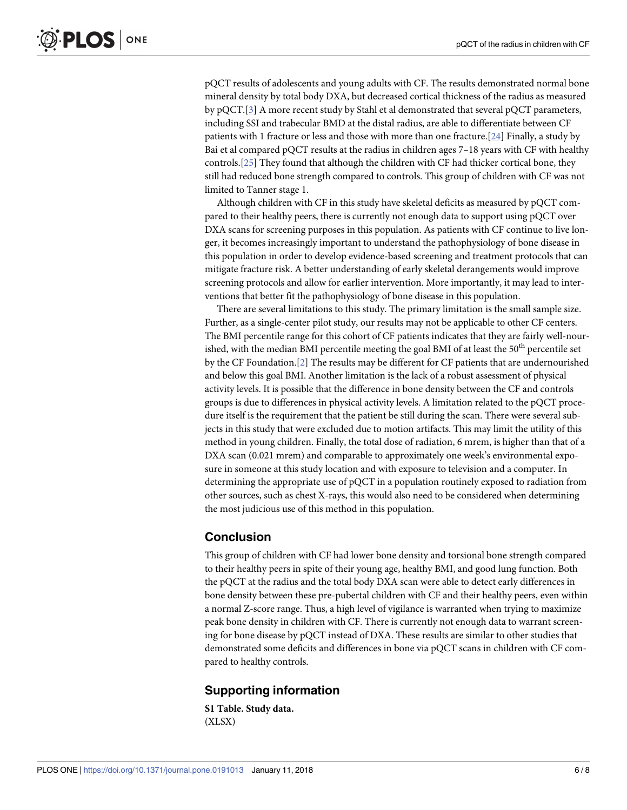<span id="page-7-0"></span>pQCT results of adolescents and young adults with CF. The results demonstrated normal bone mineral density by total body DXA, but decreased cortical thickness of the radius as measured by pQCT.[[3\]](#page-8-0) A more recent study by Stahl et al demonstrated that several pQCT parameters, including SSI and trabecular BMD at the distal radius, are able to differentiate between CF patients with 1 fracture or less and those with more than one fracture.[[24](#page-9-0)] Finally, a study by Bai et al compared pQCT results at the radius in children ages 7–18 years with CF with healthy controls.[\[25\]](#page-9-0) They found that although the children with CF had thicker cortical bone, they still had reduced bone strength compared to controls. This group of children with CF was not limited to Tanner stage 1.

Although children with CF in this study have skeletal deficits as measured by pQCT compared to their healthy peers, there is currently not enough data to support using pQCT over DXA scans for screening purposes in this population. As patients with CF continue to live longer, it becomes increasingly important to understand the pathophysiology of bone disease in this population in order to develop evidence-based screening and treatment protocols that can mitigate fracture risk. A better understanding of early skeletal derangements would improve screening protocols and allow for earlier intervention. More importantly, it may lead to interventions that better fit the pathophysiology of bone disease in this population.

There are several limitations to this study. The primary limitation is the small sample size. Further, as a single-center pilot study, our results may not be applicable to other CF centers. The BMI percentile range for this cohort of CF patients indicates that they are fairly well-nourished, with the median BMI percentile meeting the goal BMI of at least the  $50<sup>th</sup>$  percentile set by the CF Foundation.[\[2\]](#page-8-0) The results may be different for CF patients that are undernourished and below this goal BMI. Another limitation is the lack of a robust assessment of physical activity levels. It is possible that the difference in bone density between the CF and controls groups is due to differences in physical activity levels. A limitation related to the pQCT procedure itself is the requirement that the patient be still during the scan. There were several subjects in this study that were excluded due to motion artifacts. This may limit the utility of this method in young children. Finally, the total dose of radiation, 6 mrem, is higher than that of a DXA scan (0.021 mrem) and comparable to approximately one week's environmental exposure in someone at this study location and with exposure to television and a computer. In determining the appropriate use of pQCT in a population routinely exposed to radiation from other sources, such as chest X-rays, this would also need to be considered when determining the most judicious use of this method in this population.

#### **Conclusion**

This group of children with CF had lower bone density and torsional bone strength compared to their healthy peers in spite of their young age, healthy BMI, and good lung function. Both the pQCT at the radius and the total body DXA scan were able to detect early differences in bone density between these pre-pubertal children with CF and their healthy peers, even within a normal Z-score range. Thus, a high level of vigilance is warranted when trying to maximize peak bone density in children with CF. There is currently not enough data to warrant screening for bone disease by pQCT instead of DXA. These results are similar to other studies that demonstrated some deficits and differences in bone via pQCT scans in children with CF compared to healthy controls.

### **Supporting information**

**S1 [Table.](http://www.plosone.org/article/fetchSingleRepresentation.action?uri=info:doi/10.1371/journal.pone.0191013.s001) Study data.** (XLSX)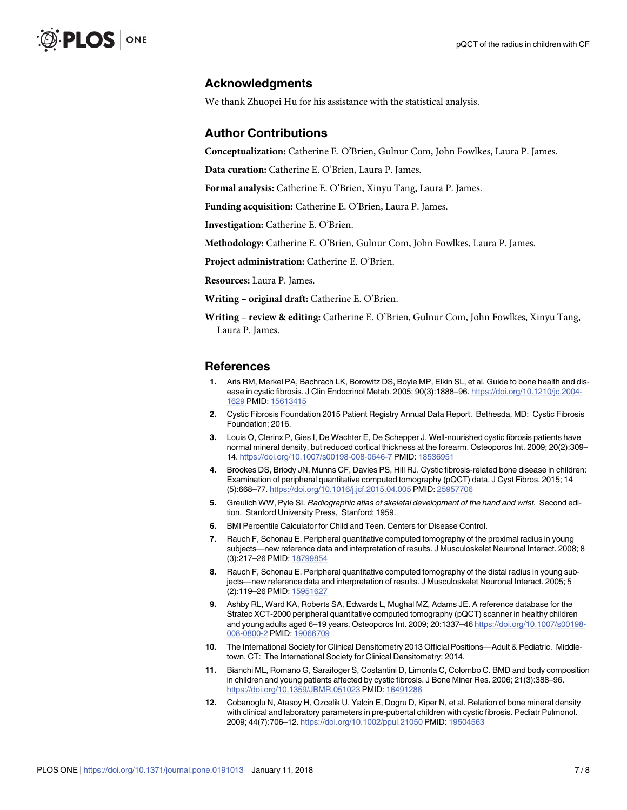#### <span id="page-8-0"></span>**Acknowledgments**

We thank Zhuopei Hu for his assistance with the statistical analysis.

#### **Author Contributions**

**Conceptualization:** Catherine E. O'Brien, Gulnur Com, John Fowlkes, Laura P. James.

**Data curation:** Catherine E. O'Brien, Laura P. James.

**Formal analysis:** Catherine E. O'Brien, Xinyu Tang, Laura P. James.

**Funding acquisition:** Catherine E. O'Brien, Laura P. James.

**Investigation:** Catherine E. O'Brien.

**Methodology:** Catherine E. O'Brien, Gulnur Com, John Fowlkes, Laura P. James.

**Project administration:** Catherine E. O'Brien.

**Resources:** Laura P. James.

**Writing – original draft:** Catherine E. O'Brien.

**Writing – review & editing:** Catherine E. O'Brien, Gulnur Com, John Fowlkes, Xinyu Tang, Laura P. James.

#### **References**

- **[1](#page-3-0).** Aris RM, Merkel PA, Bachrach LK, Borowitz DS, Boyle MP, Elkin SL, et al. Guide to bone health and disease in cystic fibrosis. J Clin Endocrinol Metab. 2005; 90(3):1888–96. [https://doi.org/10.1210/jc.2004-](https://doi.org/10.1210/jc.2004-1629) [1629](https://doi.org/10.1210/jc.2004-1629) PMID: [15613415](http://www.ncbi.nlm.nih.gov/pubmed/15613415)
- **[2](#page-3-0).** Cystic Fibrosis Foundation 2015 Patient Registry Annual Data Report. Bethesda, MD: Cystic Fibrosis Foundation; 2016.
- **[3](#page-3-0).** Louis O, Clerinx P, Gies I, De Wachter E, De Schepper J. Well-nourished cystic fibrosis patients have normal mineral density, but reduced cortical thickness at the forearm. Osteoporos Int. 2009; 20(2):309– 14. <https://doi.org/10.1007/s00198-008-0646-7> PMID: [18536951](http://www.ncbi.nlm.nih.gov/pubmed/18536951)
- **[4](#page-3-0).** Brookes DS, Briody JN, Munns CF, Davies PS, Hill RJ. Cystic fibrosis-related bone disease in children: Examination of peripheral quantitative computed tomography (pQCT) data. J Cyst Fibros. 2015; 14 (5):668–77. <https://doi.org/10.1016/j.jcf.2015.04.005> PMID: [25957706](http://www.ncbi.nlm.nih.gov/pubmed/25957706)
- **[5](#page-4-0).** Greulich WW, Pyle SI. Radiographic atlas of skeletal development of the hand and wrist. Second edition. Stanford University Press, Stanford; 1959.
- **[6](#page-4-0).** BMI Percentile Calculator for Child and Teen. Centers for Disease Control.
- **[7](#page-4-0).** Rauch F, Schonau E. Peripheral quantitative computed tomography of the proximal radius in young subjects—new reference data and interpretation of results. J Musculoskelet Neuronal Interact. 2008; 8 (3):217–26 PMID: [18799854](http://www.ncbi.nlm.nih.gov/pubmed/18799854)
- **[8](#page-4-0).** Rauch F, Schonau E. Peripheral quantitative computed tomography of the distal radius in young subjects—new reference data and interpretation of results. J Musculoskelet Neuronal Interact. 2005; 5 (2):119–26 PMID: [15951627](http://www.ncbi.nlm.nih.gov/pubmed/15951627)
- **[9](#page-4-0).** Ashby RL, Ward KA, Roberts SA, Edwards L, Mughal MZ, Adams JE. A reference database for the Stratec XCT-2000 peripheral quantitative computed tomography (pQCT) scanner in healthy children and young adults aged 6–19 years. Osteoporos Int. 2009; 20:1337–46 [https://doi.org/10.1007/s00198-](https://doi.org/10.1007/s00198-008-0800-2) [008-0800-2](https://doi.org/10.1007/s00198-008-0800-2) PMID: [19066709](http://www.ncbi.nlm.nih.gov/pubmed/19066709)
- **[10](#page-6-0).** The International Society for Clinical Densitometry 2013 Official Positions—Adult & Pediatric. Middletown, CT: The International Society for Clinical Densitometry; 2014.
- **[11](#page-6-0).** Bianchi ML, Romano G, Saraifoger S, Costantini D, Limonta C, Colombo C. BMD and body composition in children and young patients affected by cystic fibrosis. J Bone Miner Res. 2006; 21(3):388–96. <https://doi.org/10.1359/JBMR.051023> PMID: [16491286](http://www.ncbi.nlm.nih.gov/pubmed/16491286)
- **12.** Cobanoglu N, Atasoy H, Ozcelik U, Yalcin E, Dogru D, Kiper N, et al. Relation of bone mineral density with clinical and laboratory parameters in pre-pubertal children with cystic fibrosis. Pediatr Pulmonol. 2009; 44(7):706–12. <https://doi.org/10.1002/ppul.21050> PMID: [19504563](http://www.ncbi.nlm.nih.gov/pubmed/19504563)